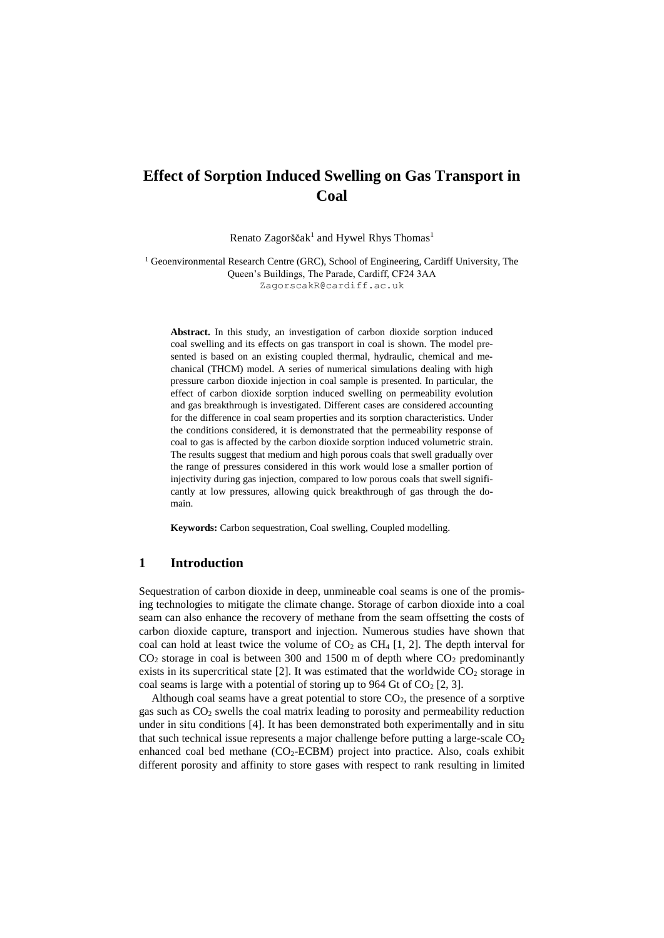# **Effect of Sorption Induced Swelling on Gas Transport in Coal**

Renato Zagorščak<sup>1</sup> and Hywel Rhys Thomas<sup>1</sup>

<sup>1</sup> Geoenvironmental Research Centre (GRC), School of Engineering, Cardiff University, The Queen's Buildings, The Parade, Cardiff, CF24 3AA ZagorscakR@cardiff.ac.uk

**Abstract.** In this study, an investigation of carbon dioxide sorption induced coal swelling and its effects on gas transport in coal is shown. The model presented is based on an existing coupled thermal, hydraulic, chemical and mechanical (THCM) model. A series of numerical simulations dealing with high pressure carbon dioxide injection in coal sample is presented. In particular, the effect of carbon dioxide sorption induced swelling on permeability evolution and gas breakthrough is investigated. Different cases are considered accounting for the difference in coal seam properties and its sorption characteristics. Under the conditions considered, it is demonstrated that the permeability response of coal to gas is affected by the carbon dioxide sorption induced volumetric strain. The results suggest that medium and high porous coals that swell gradually over the range of pressures considered in this work would lose a smaller portion of injectivity during gas injection, compared to low porous coals that swell significantly at low pressures, allowing quick breakthrough of gas through the domain.

**Keywords:** Carbon sequestration, Coal swelling, Coupled modelling.

### **1 Introduction**

Sequestration of carbon dioxide in deep, unmineable coal seams is one of the promising technologies to mitigate the climate change. Storage of carbon dioxide into a coal seam can also enhance the recovery of methane from the seam offsetting the costs of carbon dioxide capture, transport and injection. Numerous studies have shown that coal can hold at least twice the volume of  $CO<sub>2</sub>$  as CH<sub>4</sub> [1, 2]. The depth interval for  $CO<sub>2</sub>$  storage in coal is between 300 and 1500 m of depth where  $CO<sub>2</sub>$  predominantly exists in its supercritical state  $[2]$ . It was estimated that the worldwide  $CO<sub>2</sub>$  storage in coal seams is large with a potential of storing up to 964 Gt of  $CO<sub>2</sub>$  [2, 3].

Although coal seams have a great potential to store  $CO<sub>2</sub>$ , the presence of a sorptive gas such as  $CO<sub>2</sub>$  swells the coal matrix leading to porosity and permeability reduction under in situ conditions [4]. It has been demonstrated both experimentally and in situ that such technical issue represents a major challenge before putting a large-scale  $CO<sub>2</sub>$ enhanced coal bed methane  $(CO<sub>2</sub>-ECBM)$  project into practice. Also, coals exhibit different porosity and affinity to store gases with respect to rank resulting in limited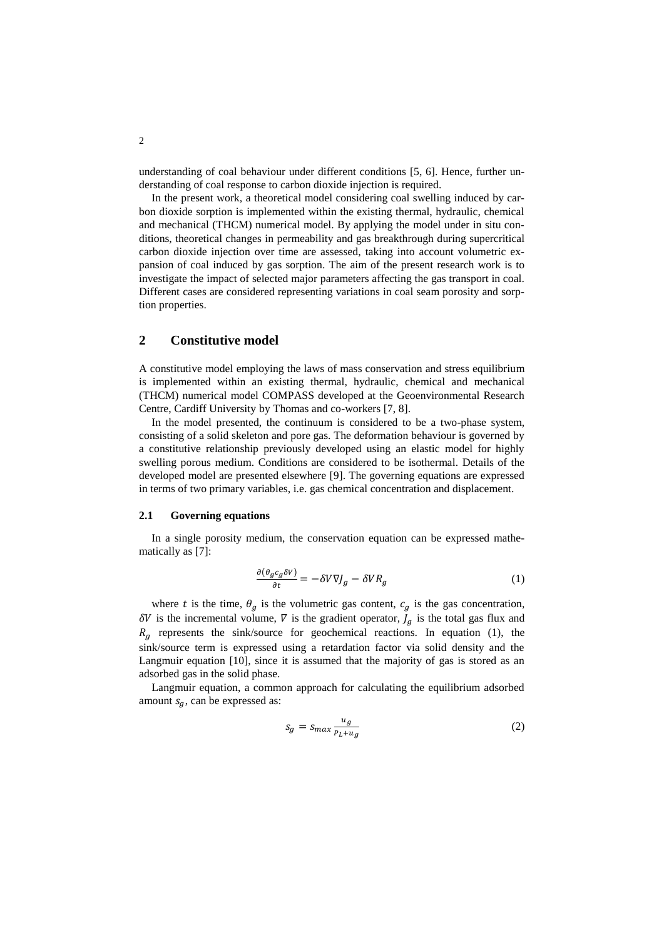understanding of coal behaviour under different conditions [5, 6]. Hence, further understanding of coal response to carbon dioxide injection is required.

In the present work, a theoretical model considering coal swelling induced by carbon dioxide sorption is implemented within the existing thermal, hydraulic, chemical and mechanical (THCM) numerical model. By applying the model under in situ conditions, theoretical changes in permeability and gas breakthrough during supercritical carbon dioxide injection over time are assessed, taking into account volumetric expansion of coal induced by gas sorption. The aim of the present research work is to investigate the impact of selected major parameters affecting the gas transport in coal. Different cases are considered representing variations in coal seam porosity and sorption properties.

# **2 Constitutive model**

A constitutive model employing the laws of mass conservation and stress equilibrium is implemented within an existing thermal, hydraulic, chemical and mechanical (THCM) numerical model COMPASS developed at the Geoenvironmental Research Centre, Cardiff University by Thomas and co-workers [7, 8].

In the model presented, the continuum is considered to be a two-phase system, consisting of a solid skeleton and pore gas. The deformation behaviour is governed by a constitutive relationship previously developed using an elastic model for highly swelling porous medium. Conditions are considered to be isothermal. Details of the developed model are presented elsewhere [9]. The governing equations are expressed in terms of two primary variables, i.e. gas chemical concentration and displacement.

#### **2.1 Governing equations**

In a single porosity medium, the conservation equation can be expressed mathematically as [7]:

$$
\frac{\partial(\theta_g c_g \delta V)}{\partial t} = -\delta V \nabla J_g - \delta V R_g \tag{1}
$$

where t is the time,  $\theta_q$  is the volumetric gas content,  $c_q$  is the gas concentration,  $\delta V$  is the incremental volume,  $\bar{V}$  is the gradient operator,  $J_g$  is the total gas flux and  $R<sub>g</sub>$  represents the sink/source for geochemical reactions. In equation (1), the sink/source term is expressed using a retardation factor via solid density and the Langmuir equation [10], since it is assumed that the majority of gas is stored as an adsorbed gas in the solid phase.

Langmuir equation, a common approach for calculating the equilibrium adsorbed amount  $s_a$ , can be expressed as:

$$
s_g = s_{max} \frac{u_g}{p_L + u_g} \tag{2}
$$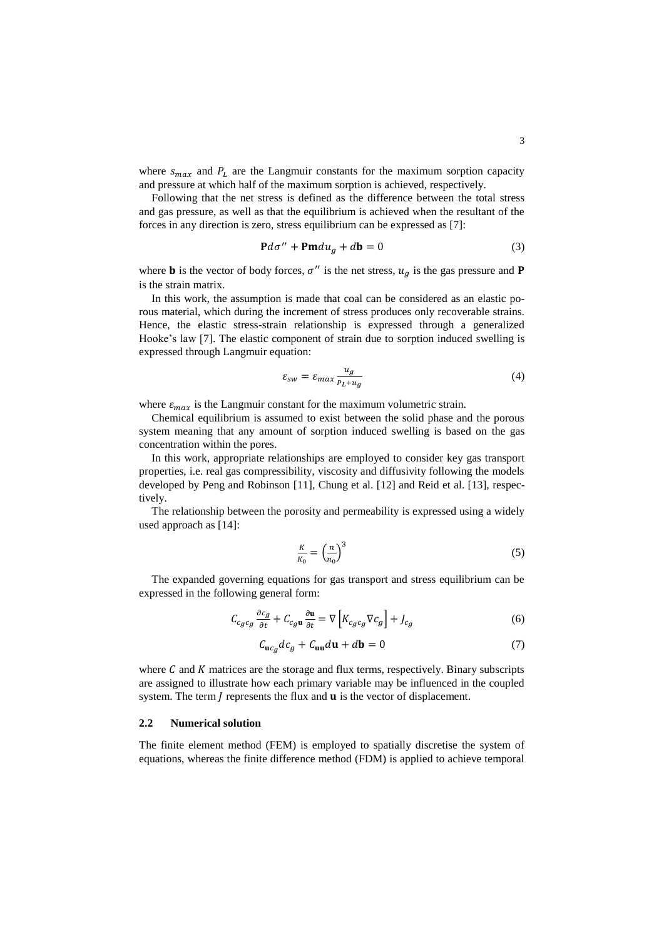where  $s_{max}$  and  $P<sub>L</sub>$  are the Langmuir constants for the maximum sorption capacity and pressure at which half of the maximum sorption is achieved, respectively.

Following that the net stress is defined as the difference between the total stress and gas pressure, as well as that the equilibrium is achieved when the resultant of the forces in any direction is zero, stress equilibrium can be expressed as [7]:

$$
\mathbf{P}d\sigma^{\prime\prime} + \mathbf{Pm}du_g + d\mathbf{b} = 0\tag{3}
$$

where **b** is the vector of body forces,  $\sigma''$  is the net stress,  $u_g$  is the gas pressure and **P** is the strain matrix.

In this work, the assumption is made that coal can be considered as an elastic porous material, which during the increment of stress produces only recoverable strains. Hence, the elastic stress-strain relationship is expressed through a generalized Hooke's law [7]. The elastic component of strain due to sorption induced swelling is expressed through Langmuir equation:

$$
\varepsilon_{sw} = \varepsilon_{max} \frac{u_g}{P_L + u_g} \tag{4}
$$

where  $\varepsilon_{max}$  is the Langmuir constant for the maximum volumetric strain.

Chemical equilibrium is assumed to exist between the solid phase and the porous system meaning that any amount of sorption induced swelling is based on the gas concentration within the pores.

In this work, appropriate relationships are employed to consider key gas transport properties, i.e. real gas compressibility, viscosity and diffusivity following the models developed by Peng and Robinson [11], Chung et al. [12] and Reid et al. [13], respectively.

The relationship between the porosity and permeability is expressed using a widely used approach as [14]:

$$
\frac{K}{K_0} = \left(\frac{n}{n_0}\right)^3\tag{5}
$$

The expanded governing equations for gas transport and stress equilibrium can be expressed in the following general form:

$$
C_{c_g c_g} \frac{\partial c_g}{\partial t} + C_{c_g u} \frac{\partial u}{\partial t} = \nabla \left[ K_{c_g c_g} \nabla c_g \right] + J_{c_g} \tag{6}
$$

$$
C_{\mathbf{u}c_g}dc_g + C_{\mathbf{u}\mathbf{u}}d\mathbf{u} + d\mathbf{b} = 0
$$
 (7)

where  $C$  and  $K$  matrices are the storage and flux terms, respectively. Binary subscripts are assigned to illustrate how each primary variable may be influenced in the coupled system. The term  $\tilde{I}$  represents the flux and  $\tilde{u}$  is the vector of displacement.

#### **2.2 Numerical solution**

The finite element method (FEM) is employed to spatially discretise the system of equations, whereas the finite difference method (FDM) is applied to achieve temporal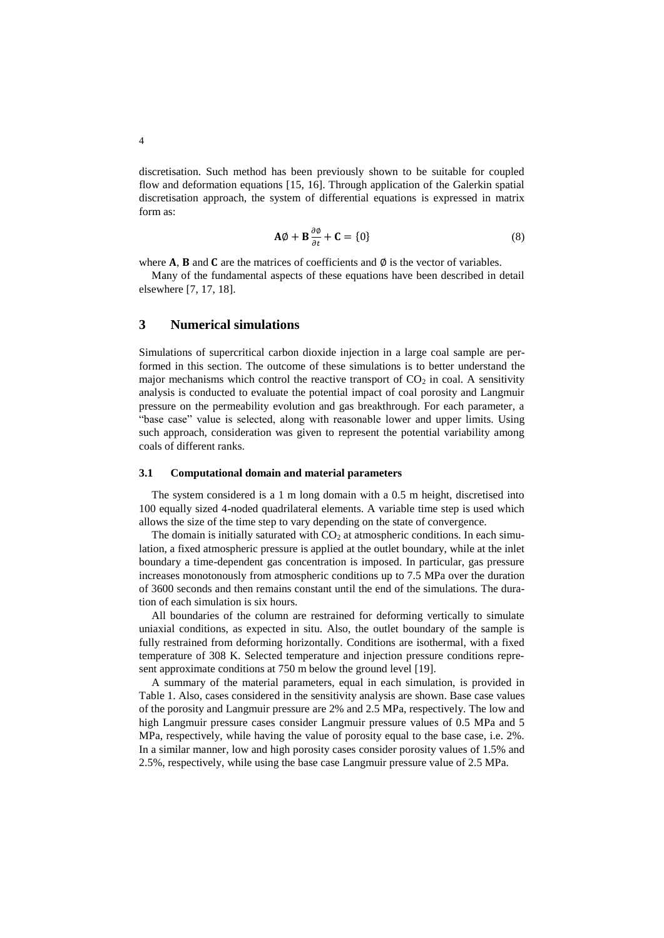discretisation. Such method has been previously shown to be suitable for coupled flow and deformation equations [15, 16]. Through application of the Galerkin spatial discretisation approach, the system of differential equations is expressed in matrix form as:

$$
\mathbf{A}\phi + \mathbf{B}\frac{\partial \phi}{\partial t} + \mathbf{C} = \{0\} \tag{8}
$$

where  $A$ ,  $B$  and  $C$  are the matrices of coefficients and  $\emptyset$  is the vector of variables.

Many of the fundamental aspects of these equations have been described in detail elsewhere [7, 17, 18].

# **3 Numerical simulations**

Simulations of supercritical carbon dioxide injection in a large coal sample are performed in this section. The outcome of these simulations is to better understand the major mechanisms which control the reactive transport of  $CO<sub>2</sub>$  in coal. A sensitivity analysis is conducted to evaluate the potential impact of coal porosity and Langmuir pressure on the permeability evolution and gas breakthrough. For each parameter, a "base case" value is selected, along with reasonable lower and upper limits. Using such approach, consideration was given to represent the potential variability among coals of different ranks.

#### **3.1 Computational domain and material parameters**

The system considered is a 1 m long domain with a 0.5 m height, discretised into 100 equally sized 4-noded quadrilateral elements. A variable time step is used which allows the size of the time step to vary depending on the state of convergence.

The domain is initially saturated with  $CO<sub>2</sub>$  at atmospheric conditions. In each simulation, a fixed atmospheric pressure is applied at the outlet boundary, while at the inlet boundary a time-dependent gas concentration is imposed. In particular, gas pressure increases monotonously from atmospheric conditions up to 7.5 MPa over the duration of 3600 seconds and then remains constant until the end of the simulations. The duration of each simulation is six hours.

All boundaries of the column are restrained for deforming vertically to simulate uniaxial conditions, as expected in situ. Also, the outlet boundary of the sample is fully restrained from deforming horizontally. Conditions are isothermal, with a fixed temperature of 308 K. Selected temperature and injection pressure conditions represent approximate conditions at 750 m below the ground level [19].

A summary of the material parameters, equal in each simulation, is provided in Table 1. Also, cases considered in the sensitivity analysis are shown. Base case values of the porosity and Langmuir pressure are 2% and 2.5 MPa, respectively. The low and high Langmuir pressure cases consider Langmuir pressure values of 0.5 MPa and 5 MPa, respectively, while having the value of porosity equal to the base case, i.e. 2%. In a similar manner, low and high porosity cases consider porosity values of 1.5% and 2.5%, respectively, while using the base case Langmuir pressure value of 2.5 MPa.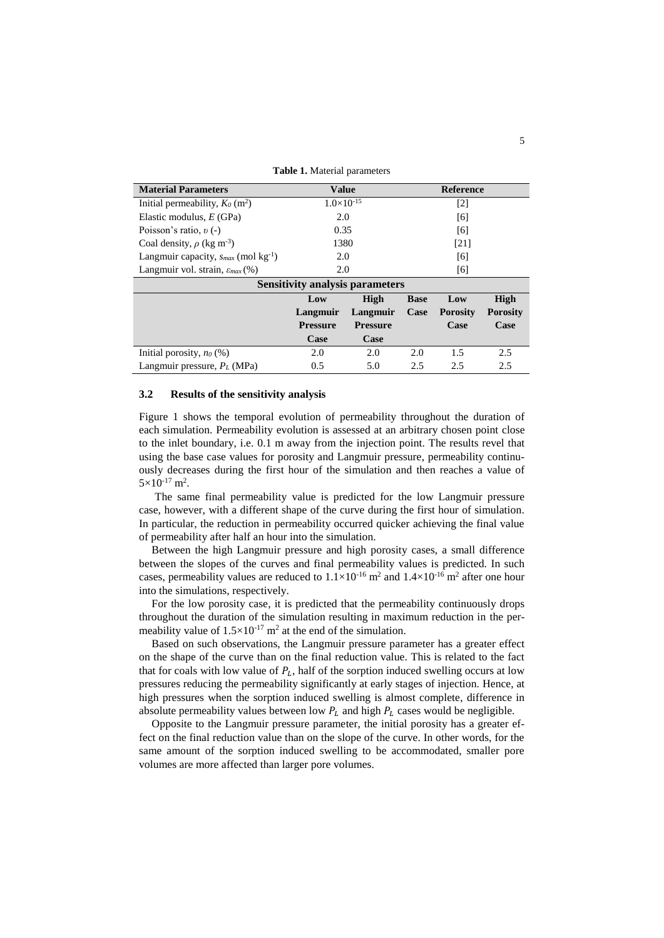**Table 1.** Material parameters

| <b>Material Parameters</b>                           | <b>Value</b>        |                 | <b>Reference</b>  |                 |                 |
|------------------------------------------------------|---------------------|-----------------|-------------------|-----------------|-----------------|
| Initial permeability, $K_0$ (m <sup>2</sup> )        | $1.0\times10^{-15}$ |                 | $\lceil 2 \rceil$ |                 |                 |
| Elastic modulus, $E(GPa)$                            | 2.0                 |                 | [6]               |                 |                 |
| Poisson's ratio, $v(-)$                              | 0.35                |                 | [6]               |                 |                 |
| Coal density, $\rho$ (kg m <sup>-3</sup> )           | 1380                |                 | [21]              |                 |                 |
| Langmuir capacity, $s_{max}$ (mol kg <sup>-1</sup> ) | 2.0                 |                 | [6]               |                 |                 |
| Langmuir vol. strain, $\varepsilon_{max}$ (%)        | 2.0                 |                 | [6]               |                 |                 |
| <b>Sensitivity analysis parameters</b>               |                     |                 |                   |                 |                 |
|                                                      | Low                 | High            | <b>Base</b>       | Low             | <b>High</b>     |
|                                                      | Langmuir            | Langmuir        | Case              | <b>Porosity</b> | <b>Porosity</b> |
|                                                      | <b>Pressure</b>     | <b>Pressure</b> |                   | Case            | Case            |
|                                                      | Case                | Case            |                   |                 |                 |
| Initial porosity, $n_0$ (%)                          | 2.0                 | 2.0             | 2.0               | 1.5             | 2.5             |
| Langmuir pressure, $P_L$ (MPa)                       | 0.5                 | 5.0             | 2.5               | 2.5             | 2.5             |

#### **3.2 Results of the sensitivity analysis**

Figure 1 shows the temporal evolution of permeability throughout the duration of each simulation. Permeability evolution is assessed at an arbitrary chosen point close to the inlet boundary, i.e. 0.1 m away from the injection point. The results revel that using the base case values for porosity and Langmuir pressure, permeability continuously decreases during the first hour of the simulation and then reaches a value of  $5\times10^{-17}$  m<sup>2</sup>.

The same final permeability value is predicted for the low Langmuir pressure case, however, with a different shape of the curve during the first hour of simulation. In particular, the reduction in permeability occurred quicker achieving the final value of permeability after half an hour into the simulation.

Between the high Langmuir pressure and high porosity cases, a small difference between the slopes of the curves and final permeability values is predicted. In such cases, permeability values are reduced to  $1.1 \times 10^{-16}$  m<sup>2</sup> and  $1.4 \times 10^{-16}$  m<sup>2</sup> after one hour into the simulations, respectively.

For the low porosity case, it is predicted that the permeability continuously drops throughout the duration of the simulation resulting in maximum reduction in the permeability value of  $1.5 \times 10^{-17}$  m<sup>2</sup> at the end of the simulation.

Based on such observations, the Langmuir pressure parameter has a greater effect on the shape of the curve than on the final reduction value. This is related to the fact that for coals with low value of  $P_L$ , half of the sorption induced swelling occurs at low pressures reducing the permeability significantly at early stages of injection. Hence, at high pressures when the sorption induced swelling is almost complete, difference in absolute permeability values between low  $P_L$  and high  $P_L$  cases would be negligible.

Opposite to the Langmuir pressure parameter, the initial porosity has a greater effect on the final reduction value than on the slope of the curve. In other words, for the same amount of the sorption induced swelling to be accommodated, smaller pore volumes are more affected than larger pore volumes.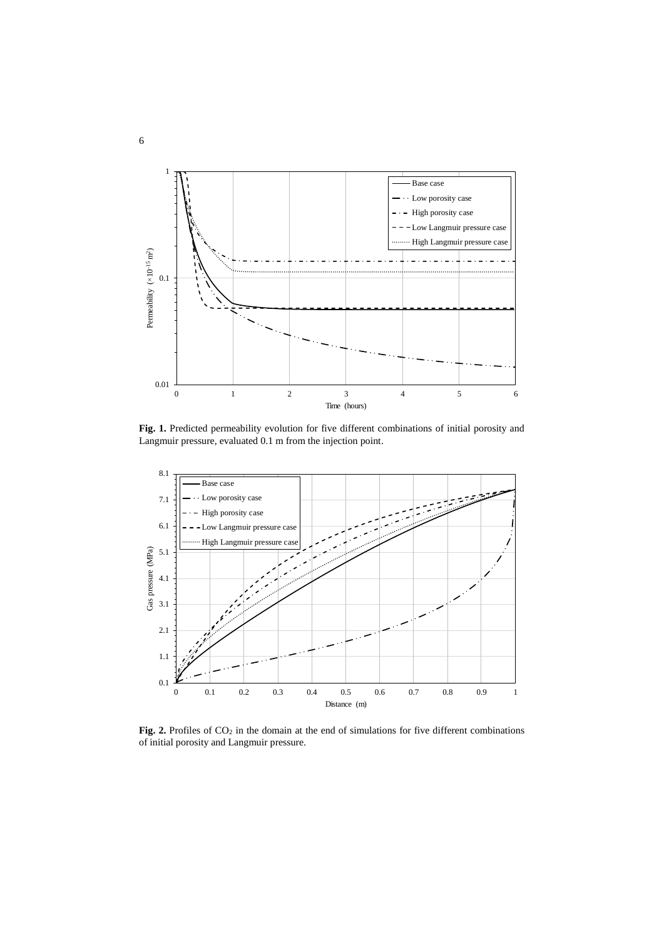

Fig. 1. Predicted permeability evolution for five different combinations of initial porosity and Langmuir pressure, evaluated 0.1 m from the injection point.



Fig. 2. Profiles of CO<sub>2</sub> in the domain at the end of simulations for five different combinations of initial porosity and Langmuir pressure.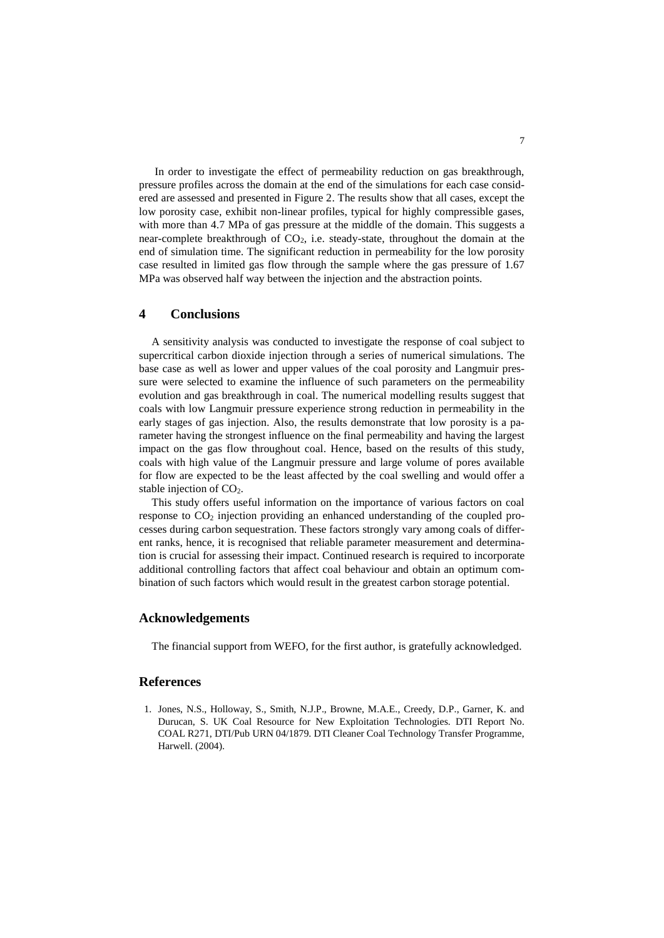In order to investigate the effect of permeability reduction on gas breakthrough, pressure profiles across the domain at the end of the simulations for each case considered are assessed and presented in Figure 2. The results show that all cases, except the low porosity case, exhibit non-linear profiles, typical for highly compressible gases, with more than 4.7 MPa of gas pressure at the middle of the domain. This suggests a near-complete breakthrough of  $CO<sub>2</sub>$ , i.e. steady-state, throughout the domain at the end of simulation time. The significant reduction in permeability for the low porosity case resulted in limited gas flow through the sample where the gas pressure of 1.67 MPa was observed half way between the injection and the abstraction points.

# **4 Conclusions**

A sensitivity analysis was conducted to investigate the response of coal subject to supercritical carbon dioxide injection through a series of numerical simulations. The base case as well as lower and upper values of the coal porosity and Langmuir pressure were selected to examine the influence of such parameters on the permeability evolution and gas breakthrough in coal. The numerical modelling results suggest that coals with low Langmuir pressure experience strong reduction in permeability in the early stages of gas injection. Also, the results demonstrate that low porosity is a parameter having the strongest influence on the final permeability and having the largest impact on the gas flow throughout coal. Hence, based on the results of this study, coals with high value of the Langmuir pressure and large volume of pores available for flow are expected to be the least affected by the coal swelling and would offer a stable injection of  $CO<sub>2</sub>$ .

This study offers useful information on the importance of various factors on coal response to CO<sup>2</sup> injection providing an enhanced understanding of the coupled processes during carbon sequestration. These factors strongly vary among coals of different ranks, hence, it is recognised that reliable parameter measurement and determination is crucial for assessing their impact. Continued research is required to incorporate additional controlling factors that affect coal behaviour and obtain an optimum combination of such factors which would result in the greatest carbon storage potential.

### **Acknowledgements**

The financial support from WEFO, for the first author, is gratefully acknowledged.

### **References**

1. Jones, N.S., Holloway, S., Smith, N.J.P., Browne, M.A.E., Creedy, D.P., Garner, K. and Durucan, S. UK Coal Resource for New Exploitation Technologies. DTI Report No. COAL R271, DTI/Pub URN 04/1879. DTI Cleaner Coal Technology Transfer Programme, Harwell. (2004).